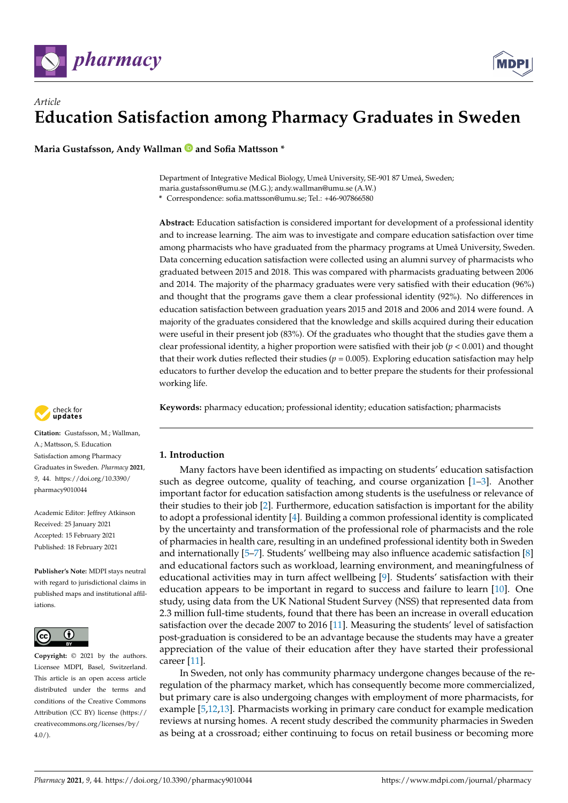



**Maria Gustafsson, Andy Wallman and Sofia Mattsson \***

Department of Integrative Medical Biology, Umeå University, SE-901 87 Umeå, Sweden; maria.gustafsson@umu.se (M.G.); andy.wallman@umu.se (A.W.) **\*** Correspondence: sofia.mattsson@umu.se; Tel.: +46-907866580

**Abstract:** Education satisfaction is considered important for development of a professional identity and to increase learning. The aim was to investigate and compare education satisfaction over time among pharmacists who have graduated from the pharmacy programs at Umeå University, Sweden. Data concerning education satisfaction were collected using an alumni survey of pharmacists who graduated between 2015 and 2018. This was compared with pharmacists graduating between 2006 and 2014. The majority of the pharmacy graduates were very satisfied with their education (96%) and thought that the programs gave them a clear professional identity (92%). No differences in education satisfaction between graduation years 2015 and 2018 and 2006 and 2014 were found. A majority of the graduates considered that the knowledge and skills acquired during their education were useful in their present job (83%). Of the graduates who thought that the studies gave them a clear professional identity, a higher proportion were satisfied with their job (*p* < 0.001) and thought that their work duties reflected their studies (*p* = 0.005). Exploring education satisfaction may help educators to further develop the education and to better prepare the students for their professional working life.

**Keywords:** pharmacy education; professional identity; education satisfaction; pharmacists

# **1. Introduction**

Many factors have been identified as impacting on students' education satisfaction such as degree outcome, quality of teaching, and course organization [\[1](#page-9-0)[–3\]](#page-9-1). Another important factor for education satisfaction among students is the usefulness or relevance of their studies to their job [\[2\]](#page-9-2). Furthermore, education satisfaction is important for the ability to adopt a professional identity [\[4\]](#page-10-0). Building a common professional identity is complicated by the uncertainty and transformation of the professional role of pharmacists and the role of pharmacies in health care, resulting in an undefined professional identity both in Sweden and internationally [\[5](#page-10-1)[–7\]](#page-10-2). Students' wellbeing may also influence academic satisfaction [\[8\]](#page-10-3) and educational factors such as workload, learning environment, and meaningfulness of educational activities may in turn affect wellbeing [\[9\]](#page-10-4). Students' satisfaction with their education appears to be important in regard to success and failure to learn [\[10\]](#page-10-5). One study, using data from the UK National Student Survey (NSS) that represented data from 2.3 million full-time students, found that there has been an increase in overall education satisfaction over the decade 2007 to 2016 [\[11\]](#page-10-6). Measuring the students' level of satisfaction post-graduation is considered to be an advantage because the students may have a greater appreciation of the value of their education after they have started their professional career [\[11\]](#page-10-6).

In Sweden, not only has community pharmacy undergone changes because of the reregulation of the pharmacy market, which has consequently become more commercialized, but primary care is also undergoing changes with employment of more pharmacists, for example [\[5,](#page-10-1)[12,](#page-10-7)[13\]](#page-10-8). Pharmacists working in primary care conduct for example medication reviews at nursing homes. A recent study described the community pharmacies in Sweden as being at a crossroad; either continuing to focus on retail business or becoming more



**Citation:** Gustafsson, M.; Wallman, A.; Mattsson, S. Education Satisfaction among Pharmacy Graduates in Sweden. *Pharmacy* **2021**, *9*, 44. [https://doi.org/10.3390/](https://doi.org/10.3390/pharmacy9010044) [pharmacy9010044](https://doi.org/10.3390/pharmacy9010044)

Academic Editor: Jeffrey Atkinson Received: 25 January 2021 Accepted: 15 February 2021 Published: 18 February 2021

**Publisher's Note:** MDPI stays neutral with regard to jurisdictional claims in published maps and institutional affiliations.



**Copyright:** © 2021 by the authors. Licensee MDPI, Basel, Switzerland. This article is an open access article distributed under the terms and conditions of the Creative Commons Attribution (CC BY) license (https:/[/](https://creativecommons.org/licenses/by/4.0/) [creativecommons.org/licenses/by/](https://creativecommons.org/licenses/by/4.0/)  $4.0/$ ).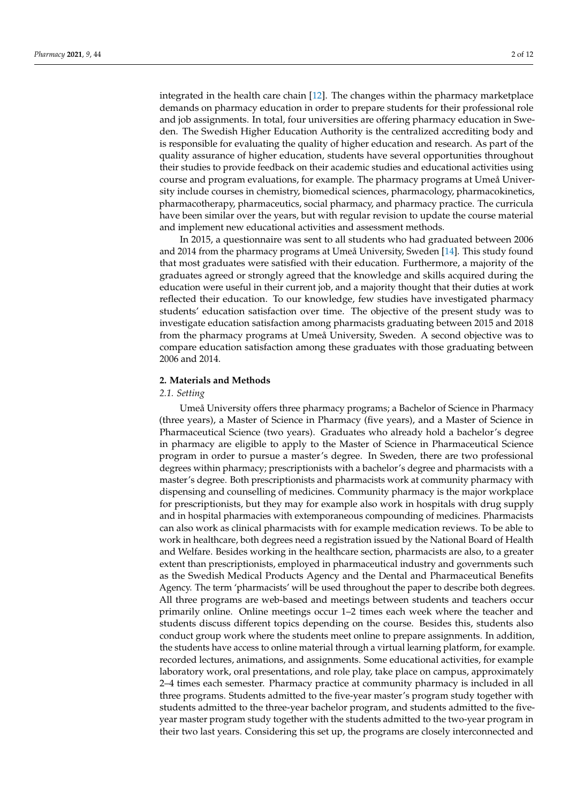integrated in the health care chain [\[12\]](#page-10-7). The changes within the pharmacy marketplace demands on pharmacy education in order to prepare students for their professional role and job assignments. In total, four universities are offering pharmacy education in Sweden. The Swedish Higher Education Authority is the centralized accrediting body and is responsible for evaluating the quality of higher education and research. As part of the quality assurance of higher education, students have several opportunities throughout their studies to provide feedback on their academic studies and educational activities using course and program evaluations, for example. The pharmacy programs at Umeå University include courses in chemistry, biomedical sciences, pharmacology, pharmacokinetics, pharmacotherapy, pharmaceutics, social pharmacy, and pharmacy practice. The curricula have been similar over the years, but with regular revision to update the course material and implement new educational activities and assessment methods.

In 2015, a questionnaire was sent to all students who had graduated between 2006 and 2014 from the pharmacy programs at Umeå University, Sweden [\[14\]](#page-10-9). This study found that most graduates were satisfied with their education. Furthermore, a majority of the graduates agreed or strongly agreed that the knowledge and skills acquired during the education were useful in their current job, and a majority thought that their duties at work reflected their education. To our knowledge, few studies have investigated pharmacy students' education satisfaction over time. The objective of the present study was to investigate education satisfaction among pharmacists graduating between 2015 and 2018 from the pharmacy programs at Umeå University, Sweden. A second objective was to compare education satisfaction among these graduates with those graduating between 2006 and 2014.

### **2. Materials and Methods**

### *2.1. Setting*

Umeå University offers three pharmacy programs; a Bachelor of Science in Pharmacy (three years), a Master of Science in Pharmacy (five years), and a Master of Science in Pharmaceutical Science (two years). Graduates who already hold a bachelor's degree in pharmacy are eligible to apply to the Master of Science in Pharmaceutical Science program in order to pursue a master's degree. In Sweden, there are two professional degrees within pharmacy; prescriptionists with a bachelor's degree and pharmacists with a master's degree. Both prescriptionists and pharmacists work at community pharmacy with dispensing and counselling of medicines. Community pharmacy is the major workplace for prescriptionists, but they may for example also work in hospitals with drug supply and in hospital pharmacies with extemporaneous compounding of medicines. Pharmacists can also work as clinical pharmacists with for example medication reviews. To be able to work in healthcare, both degrees need a registration issued by the National Board of Health and Welfare. Besides working in the healthcare section, pharmacists are also, to a greater extent than prescriptionists, employed in pharmaceutical industry and governments such as the Swedish Medical Products Agency and the Dental and Pharmaceutical Benefits Agency. The term 'pharmacists' will be used throughout the paper to describe both degrees. All three programs are web-based and meetings between students and teachers occur primarily online. Online meetings occur 1–2 times each week where the teacher and students discuss different topics depending on the course. Besides this, students also conduct group work where the students meet online to prepare assignments. In addition, the students have access to online material through a virtual learning platform, for example. recorded lectures, animations, and assignments. Some educational activities, for example laboratory work, oral presentations, and role play, take place on campus, approximately 2–4 times each semester. Pharmacy practice at community pharmacy is included in all three programs. Students admitted to the five-year master's program study together with students admitted to the three-year bachelor program, and students admitted to the fiveyear master program study together with the students admitted to the two-year program in their two last years. Considering this set up, the programs are closely interconnected and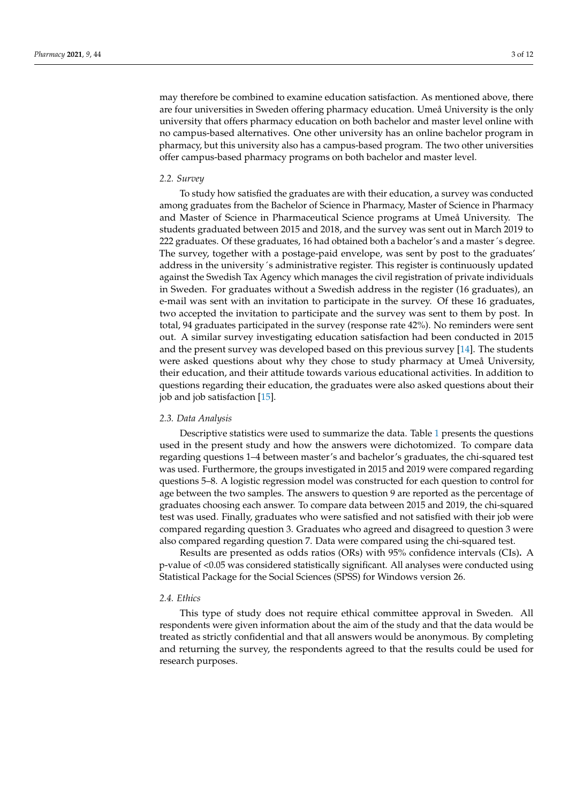may therefore be combined to examine education satisfaction. As mentioned above, there are four universities in Sweden offering pharmacy education. Umeå University is the only university that offers pharmacy education on both bachelor and master level online with no campus-based alternatives. One other university has an online bachelor program in pharmacy, but this university also has a campus-based program. The two other universities offer campus-based pharmacy programs on both bachelor and master level.

# *2.2. Survey*

To study how satisfied the graduates are with their education, a survey was conducted among graduates from the Bachelor of Science in Pharmacy, Master of Science in Pharmacy and Master of Science in Pharmaceutical Science programs at Umeå University. The students graduated between 2015 and 2018, and the survey was sent out in March 2019 to 222 graduates. Of these graduates, 16 had obtained both a bachelor's and a master´s degree. The survey, together with a postage-paid envelope, was sent by post to the graduates' address in the university´s administrative register. This register is continuously updated against the Swedish Tax Agency which manages the civil registration of private individuals in Sweden. For graduates without a Swedish address in the register (16 graduates), an e-mail was sent with an invitation to participate in the survey. Of these 16 graduates, two accepted the invitation to participate and the survey was sent to them by post. In total, 94 graduates participated in the survey (response rate 42%). No reminders were sent out. A similar survey investigating education satisfaction had been conducted in 2015 and the present survey was developed based on this previous survey [\[14\]](#page-10-9). The students were asked questions about why they chose to study pharmacy at Umeå University, their education, and their attitude towards various educational activities. In addition to questions regarding their education, the graduates were also asked questions about their job and job satisfaction [\[15\]](#page-10-10).

# *2.3. Data Analysis*

Descriptive statistics were used to summarize the data. Table [1](#page-3-0) presents the questions used in the present study and how the answers were dichotomized. To compare data regarding questions 1–4 between master's and bachelor's graduates, the chi-squared test was used. Furthermore, the groups investigated in 2015 and 2019 were compared regarding questions 5–8. A logistic regression model was constructed for each question to control for age between the two samples. The answers to question 9 are reported as the percentage of graduates choosing each answer. To compare data between 2015 and 2019, the chi-squared test was used. Finally, graduates who were satisfied and not satisfied with their job were compared regarding question 3. Graduates who agreed and disagreed to question 3 were also compared regarding question 7. Data were compared using the chi-squared test.

Results are presented as odds ratios (ORs) with 95% confidence intervals (CIs)**.** A p-value of <0.05 was considered statistically significant. All analyses were conducted using Statistical Package for the Social Sciences (SPSS) for Windows version 26.

### *2.4. Ethics*

This type of study does not require ethical committee approval in Sweden. All respondents were given information about the aim of the study and that the data would be treated as strictly confidential and that all answers would be anonymous. By completing and returning the survey, the respondents agreed to that the results could be used for research purposes.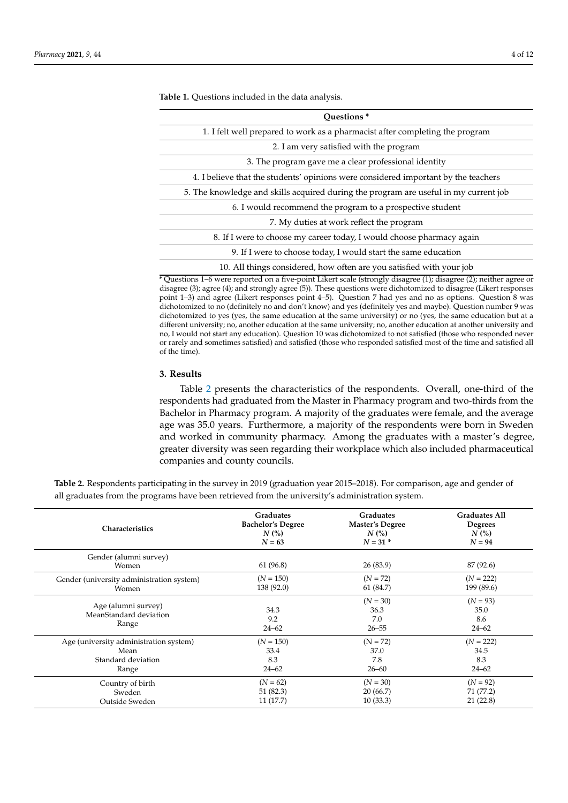| Ouestions <sup>*</sup>                                                               |
|--------------------------------------------------------------------------------------|
| 1. I felt well prepared to work as a pharmacist after completing the program         |
| 2. I am very satisfied with the program                                              |
| 3. The program gave me a clear professional identity                                 |
| 4. I believe that the students' opinions were considered important by the teachers   |
| 5. The knowledge and skills acquired during the program are useful in my current job |
| 6. I would recommend the program to a prospective student                            |
| 7. My duties at work reflect the program                                             |
| 8. If I were to choose my career today, I would choose pharmacy again                |
| 9. If I were to choose today, I would start the same education                       |
| 10. All things considered, how often are you satisfied with your job                 |

<span id="page-3-0"></span>**Table 1.** Questions included in the data analysis.

\* Questions 1–6 were reported on a five-point Likert scale (strongly disagree (1); disagree (2); neither agree or disagree (3); agree (4); and strongly agree (5)). These questions were dichotomized to disagree (Likert responses point 1–3) and agree (Likert responses point 4–5). Question 7 had yes and no as options. Question 8 was dichotomized to no (definitely no and don't know) and yes (definitely yes and maybe). Question number 9 was dichotomized to yes (yes, the same education at the same university) or no (yes, the same education but at a different university; no, another education at the same university; no, another education at another university and no, I would not start any education). Question 10 was dichotomized to not satisfied (those who responded never or rarely and sometimes satisfied) and satisfied (those who responded satisfied most of the time and satisfied all of the time).

#### **3. Results**

Table [2](#page-4-0) presents the characteristics of the respondents. Overall, one-third of the respondents had graduated from the Master in Pharmacy program and two-thirds from the Bachelor in Pharmacy program. A majority of the graduates were female, and the average age was 35.0 years. Furthermore, a majority of the respondents were born in Sweden and worked in community pharmacy. Among the graduates with a master's degree, greater diversity was seen regarding their workplace which also included pharmaceutical companies and county councils.

| <b>Characteristics</b>                                 | <b>Graduates</b>         | <b>Graduates</b>                       | <b>Graduates All</b>                   |
|--------------------------------------------------------|--------------------------|----------------------------------------|----------------------------------------|
|                                                        | <b>Bachelor's Degree</b> | Master's Degree                        | <b>Degrees</b>                         |
|                                                        | N(%)                     | N(%)                                   | $N$ (%)                                |
|                                                        | $N = 63$                 | $N = 31$ *                             | $N = 94$                               |
| Gender (alumni survey)<br>Women                        | 61 (96.8)                | 26(83.9)                               | 87 (92.6)                              |
| Gender (university administration system)              | $(N = 150)$              | $(N = 72)$                             | $(N = 222)$                            |
| Women                                                  | 138 (92.0)               | 61 (84.7)                              | 199 (89.6)                             |
| Age (alumni survey)<br>MeanStandard deviation<br>Range | 34.3<br>9.2<br>$24 - 62$ | $(N = 30)$<br>36.3<br>7.0<br>$26 - 55$ | $(N = 93)$<br>35.0<br>8.6<br>$24 - 62$ |
| Age (university administration system)                 | $(N = 150)$              | $(N = 72)$                             | $(N = 222)$                            |
| Mean                                                   | 33.4                     | 37.0                                   | 34.5                                   |
| Standard deviation                                     | 8.3                      | 7.8                                    | 8.3                                    |
| Range                                                  | $24 - 62$                | $26 - 60$                              | $24 - 62$                              |
| Country of birth                                       | $(N = 62)$               | $(N = 30)$                             | $(N = 92)$                             |
| Sweden                                                 | 51 (82.3)                | 20 (66.7)                              | 71 (77.2)                              |
| Outside Sweden                                         | 11(17.7)                 | 10(33.3)                               | 21(22.8)                               |

**Table 2.** Respondents participating in the survey in 2019 (graduation year 2015–2018). For comparison, age and gender of all graduates from the programs have been retrieved from the university's administration system.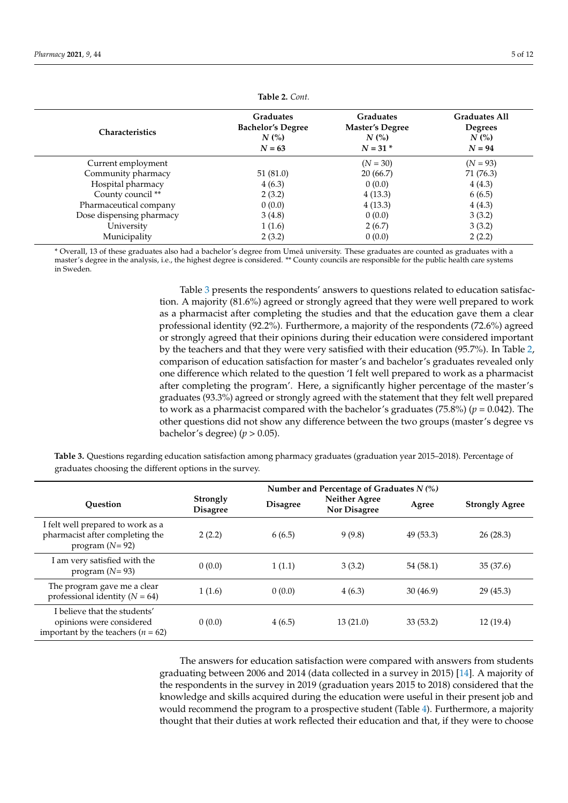<span id="page-4-0"></span>

| <b>Characteristics</b>   | <b>Graduates</b><br><b>Bachelor's Degree</b><br>$N$ (%)<br>$N = 63$ | <b>Graduates</b><br><b>Master's Degree</b><br>$N$ (%)<br>$N = 31$ * | <b>Graduates All</b><br><b>Degrees</b><br>$N$ (%)<br>$N = 94$ |
|--------------------------|---------------------------------------------------------------------|---------------------------------------------------------------------|---------------------------------------------------------------|
| Current employment       |                                                                     | $(N = 30)$                                                          | $(N = 93)$                                                    |
| Community pharmacy       | 51(81.0)                                                            | 20(66.7)                                                            | 71 (76.3)                                                     |
| Hospital pharmacy        | 4(6.3)                                                              | 0(0.0)                                                              | 4(4.3)                                                        |
| County council **        | 2(3.2)                                                              | 4(13.3)                                                             | 6(6.5)                                                        |
| Pharmaceutical company   | 0(0.0)                                                              | 4(13.3)                                                             | 4(4.3)                                                        |
| Dose dispensing pharmacy | 3(4.8)                                                              | 0(0.0)                                                              | 3(3.2)                                                        |
| University               | 1(1.6)                                                              | 2(6.7)                                                              | 3(3.2)                                                        |
| Municipality             | 2(3.2)                                                              | 0(0.0)                                                              | 2(2.2)                                                        |

**Table 2.** *Cont.*

\* Overall, 13 of these graduates also had a bachelor's degree from Umeå university. These graduates are counted as graduates with a master's degree in the analysis, i.e., the highest degree is considered. \*\* County councils are responsible for the public health care systems in Sweden.

> Table [3](#page-4-1) presents the respondents' answers to questions related to education satisfaction. A majority (81.6%) agreed or strongly agreed that they were well prepared to work as a pharmacist after completing the studies and that the education gave them a clear professional identity (92.2%). Furthermore, a majority of the respondents (72.6%) agreed or strongly agreed that their opinions during their education were considered important by the teachers and that they were very satisfied with their education (95.7%). In Table [2,](#page-4-0) comparison of education satisfaction for master's and bachelor's graduates revealed only one difference which related to the question 'I felt well prepared to work as a pharmacist after completing the program'. Here, a significantly higher percentage of the master's graduates (93.3%) agreed or strongly agreed with the statement that they felt well prepared to work as a pharmacist compared with the bachelor's graduates (75.8%) (*p* = 0.042). The other questions did not show any difference between the two groups (master's degree vs bachelor's degree)  $(p > 0.05)$ .

<span id="page-4-1"></span>**Table 3.** Questions regarding education satisfaction among pharmacy graduates (graduation year 2015–2018). Percentage of graduates choosing the different options in the survey.

|                                                                                                    |                             |                 | Number and Percentage of Graduates $N$ (%) |          |                       |  |
|----------------------------------------------------------------------------------------------------|-----------------------------|-----------------|--------------------------------------------|----------|-----------------------|--|
| Ouestion                                                                                           | Strongly<br><b>Disagree</b> | <b>Disagree</b> | <b>Neither Agree</b><br>Nor Disagree       | Agree    | <b>Strongly Agree</b> |  |
| I felt well prepared to work as a<br>pharmacist after completing the<br>program $(N=92)$           | 2(2.2)                      | 6(6.5)          | 9(9.8)                                     | 49(53.3) | 26(28.3)              |  |
| I am very satisfied with the<br>program $(N=93)$                                                   | 0(0.0)                      | 1(1.1)          | 3(3.2)                                     | 54(58.1) | 35(37.6)              |  |
| The program gave me a clear<br>professional identity ( $N = 64$ )                                  | 1(1.6)                      | 0(0.0)          | 4(6.3)                                     | 30(46.9) | 29(45.3)              |  |
| I believe that the students'<br>opinions were considered<br>important by the teachers ( $n = 62$ ) | 0(0.0)                      | 4(6.5)          | 13(21.0)                                   | 33(53.2) | 12(19.4)              |  |

The answers for education satisfaction were compared with answers from students graduating between 2006 and 2014 (data collected in a survey in 2015) [\[14\]](#page-10-9). A majority of the respondents in the survey in 2019 (graduation years 2015 to 2018) considered that the knowledge and skills acquired during the education were useful in their present job and would recommend the program to a prospective student (Table [4\)](#page-5-0). Furthermore, a majority thought that their duties at work reflected their education and that, if they were to choose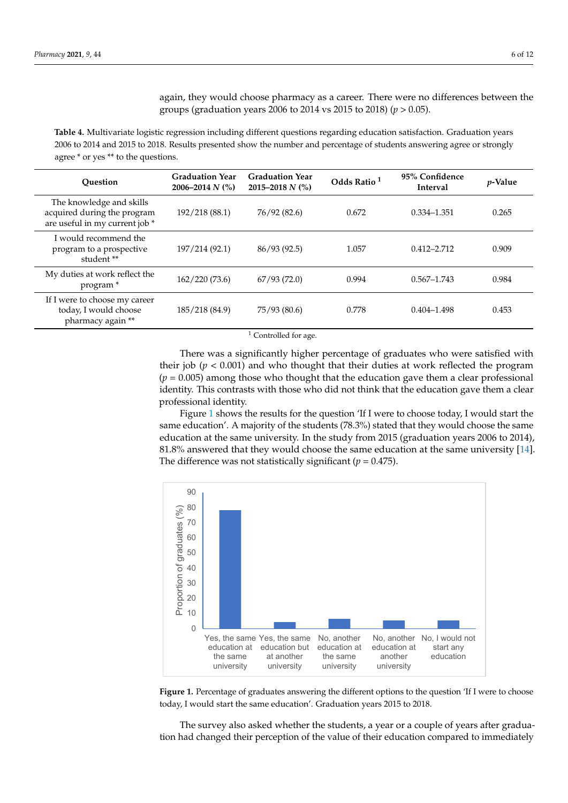again, they would choose pharmacy as a career. There were no differences between the groups (graduation years 2006 to 2014 vs 2015 to 2018) (*p* > 0.05).

<span id="page-5-0"></span>**Table 4.** Multivariate logistic regression including different questions regarding education satisfaction. Graduation years 2006 to 2014 and 2015 to 2018. Results presented show the number and percentage of students answering agree or strongly agree \* or yes \*\* to the questions.

| <b>Ouestion</b>                                                                           | <b>Graduation Year</b><br>2006–2014 $N$ (%) | <b>Graduation Year</b><br>2015–2018 $N$ (%) | Odds Ratio <sup>1</sup> | 95% Confidence<br><b>Interval</b> | <i>p</i> -Value |
|-------------------------------------------------------------------------------------------|---------------------------------------------|---------------------------------------------|-------------------------|-----------------------------------|-----------------|
| The knowledge and skills<br>acquired during the program<br>are useful in my current job * | 192/218 (88.1)                              | 76/92 (82.6)                                | 0.672                   | $0.334 - 1.351$                   | 0.265           |
| I would recommend the<br>program to a prospective<br>student **                           | 197/214 (92.1)                              | 86/93(92.5)                                 | 1.057                   | $0.412 - 2.712$                   | 0.909           |
| My duties at work reflect the<br>program <sup>*</sup>                                     | 162/220(73.6)                               | 67/93(72.0)                                 | 0.994                   | $0.567 - 1.743$                   | 0.984           |
| If I were to choose my career<br>today, I would choose<br>pharmacy again **               | 185/218 (84.9)                              | 75/93 (80.6)                                | 0.778                   | $0.404 - 1.498$                   | 0.453           |

<sup>1</sup> Controlled for age.

There was a significantly higher percentage of graduates who were satisfied with their job  $(p < 0.001)$  and who thought that their duties at work reflected the program  $(p = 0.005)$  among those who thought that the education gave them a clear professional identity. This contrasts with those who did not think that the education gave them a clear professional identity.

Figure [1](#page-5-1) shows the results for the question 'If I were to choose today, I would start the same education'. A majority of the students (78.3%) stated that they would choose the same education at the same university. In the study from 2015 (graduation years 2006 to 2014), 81.8% answered that they would choose the same education at the same university [\[14\]](#page-10-9). The difference was not statistically significant ( $p = 0.475$ ).

<span id="page-5-1"></span>

**Figure 1.** Percentage of graduates answering the different options to the question 'If I were to **Figure 1.** Percentage of graduates answering the different options to the question 'If I were to choose choose today, I would start the same education'. Graduation years 2015 to 2018. today, I would start the same education'. Graduation years 2015 to 2018.

The survey also asked whether the students, a year or a couple of years after The survey also asked whether the students, a year or a couple of years after graduagraduation had changed their perception of the value of their education compared to the value of the value of the value of their education compared to the value of the value of the value of their education compared to the tion had changed their perception of the value of their education compared to immediately<br>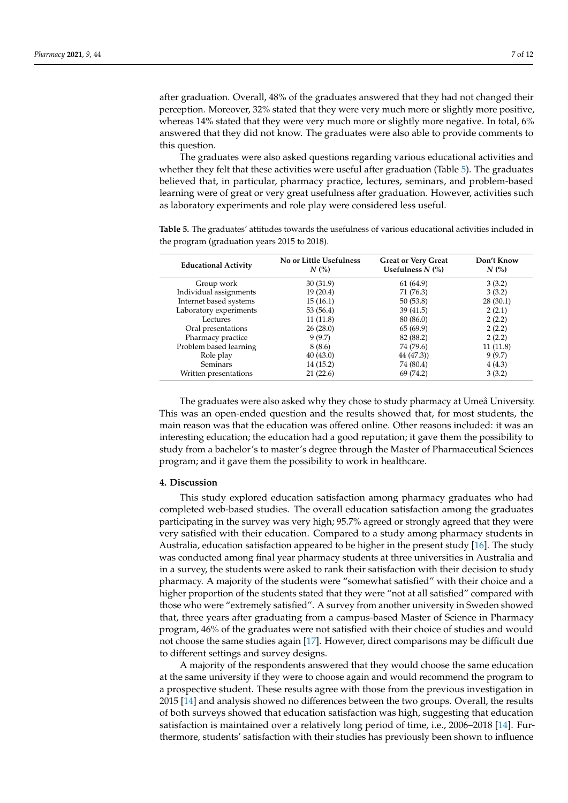after graduation. Overall, 48% of the graduates answered that they had not changed their perception. Moreover, 32% stated that they were very much more or slightly more positive, whereas 14% stated that they were very much more or slightly more negative. In total, 6% answered that they did not know. The graduates were also able to provide comments to this question.

The graduates were also asked questions regarding various educational activities and whether they felt that these activities were useful after graduation (Table [5\)](#page-6-0). The graduates believed that, in particular, pharmacy practice, lectures, seminars, and problem-based learning were of great or very great usefulness after graduation. However, activities such as laboratory experiments and role play were considered less useful.

**Educational Activity No or Little Usefulness** *N* **(%) Great or Very Great Usefulness** *N* **(%) Don't Know** *N* **(%)** Group work 30 (31.9) 61 (64.9) 3 (3.2)<br>
idual assignments 19 (20.4) 71 (76.3) 3 (3.2) Individual assignments  $19(20.4)$   $71(76.3)$ Internet based systems 15 (16.1) 50 (53.8) 28 (30.1)<br>
Laboratory experiments 53 (56.4) 39 (41.5) 2 (2.1) Laboratory experiments 53 (56.4) 39 (41.5)<br>
Lectures 11 (11.8) 38 (86.0) Lectures 11 (11.8) 80 (86.0) 2 (2.2) Oral presentations 26 (28.0) 65 (69.9) 2 (2.2)<br>
Pharmacy practice 9 (9.7) 82 (88.2) 2 (2.2) Pharmacy practice Problem based learning  $8(8.6)$  74 (79.6) 11 (11.8) Role play  $40 (43.0)$   $44 (47.3)$   $9 (9.7)$ <br>Seminars  $14 (15.2)$   $74 (80.4)$   $4 (4.3)$ Seminars 14 (15.2) 74 (80.4) 4 (4.3) Written presentations 21 (22.6) 69 (74.2) 3 (3.2)

<span id="page-6-0"></span>**Table 5.** The graduates' attitudes towards the usefulness of various educational activities included in the program (graduation years 2015 to 2018).

The graduates were also asked why they chose to study pharmacy at Umeå University. This was an open-ended question and the results showed that, for most students, the main reason was that the education was offered online. Other reasons included: it was an interesting education; the education had a good reputation; it gave them the possibility to study from a bachelor's to master's degree through the Master of Pharmaceutical Sciences program; and it gave them the possibility to work in healthcare.

### **4. Discussion**

This study explored education satisfaction among pharmacy graduates who had completed web-based studies. The overall education satisfaction among the graduates participating in the survey was very high; 95.7% agreed or strongly agreed that they were very satisfied with their education. Compared to a study among pharmacy students in Australia, education satisfaction appeared to be higher in the present study [\[16\]](#page-10-11). The study was conducted among final year pharmacy students at three universities in Australia and in a survey, the students were asked to rank their satisfaction with their decision to study pharmacy. A majority of the students were "somewhat satisfied" with their choice and a higher proportion of the students stated that they were "not at all satisfied" compared with those who were "extremely satisfied". A survey from another university in Sweden showed that, three years after graduating from a campus-based Master of Science in Pharmacy program, 46% of the graduates were not satisfied with their choice of studies and would not choose the same studies again [\[17\]](#page-10-12). However, direct comparisons may be difficult due to different settings and survey designs.

A majority of the respondents answered that they would choose the same education at the same university if they were to choose again and would recommend the program to a prospective student. These results agree with those from the previous investigation in 2015 [\[14\]](#page-10-9) and analysis showed no differences between the two groups. Overall, the results of both surveys showed that education satisfaction was high, suggesting that education satisfaction is maintained over a relatively long period of time, i.e., 2006–2018 [\[14\]](#page-10-9). Furthermore, students' satisfaction with their studies has previously been shown to influence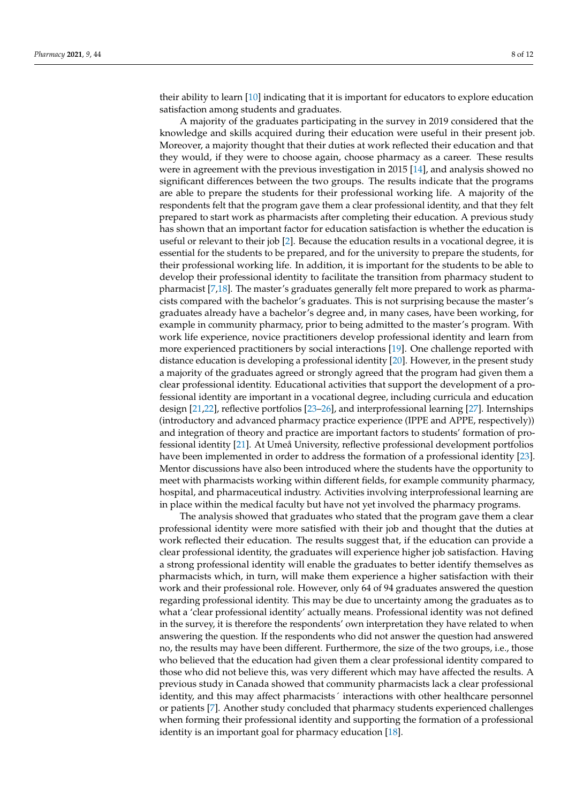their ability to learn [\[10\]](#page-10-5) indicating that it is important for educators to explore education satisfaction among students and graduates.

A majority of the graduates participating in the survey in 2019 considered that the knowledge and skills acquired during their education were useful in their present job. Moreover, a majority thought that their duties at work reflected their education and that they would, if they were to choose again, choose pharmacy as a career. These results were in agreement with the previous investigation in 2015 [\[14\]](#page-10-9), and analysis showed no significant differences between the two groups. The results indicate that the programs are able to prepare the students for their professional working life. A majority of the respondents felt that the program gave them a clear professional identity, and that they felt prepared to start work as pharmacists after completing their education. A previous study has shown that an important factor for education satisfaction is whether the education is useful or relevant to their job [\[2\]](#page-9-2). Because the education results in a vocational degree, it is essential for the students to be prepared, and for the university to prepare the students, for their professional working life. In addition, it is important for the students to be able to develop their professional identity to facilitate the transition from pharmacy student to pharmacist [\[7](#page-10-2)[,18\]](#page-10-13). The master's graduates generally felt more prepared to work as pharmacists compared with the bachelor's graduates. This is not surprising because the master's graduates already have a bachelor's degree and, in many cases, have been working, for example in community pharmacy, prior to being admitted to the master's program. With work life experience, novice practitioners develop professional identity and learn from more experienced practitioners by social interactions [\[19\]](#page-10-14). One challenge reported with distance education is developing a professional identity [\[20\]](#page-10-15). However, in the present study a majority of the graduates agreed or strongly agreed that the program had given them a clear professional identity. Educational activities that support the development of a professional identity are important in a vocational degree, including curricula and education design [\[21,](#page-10-16)[22\]](#page-10-17), reflective portfolios [\[23](#page-10-18)[–26\]](#page-10-19), and interprofessional learning [\[27\]](#page-10-20). Internships (introductory and advanced pharmacy practice experience (IPPE and APPE, respectively)) and integration of theory and practice are important factors to students' formation of professional identity [\[21\]](#page-10-16). At Umeå University, reflective professional development portfolios have been implemented in order to address the formation of a professional identity [\[23\]](#page-10-18). Mentor discussions have also been introduced where the students have the opportunity to meet with pharmacists working within different fields, for example community pharmacy, hospital, and pharmaceutical industry. Activities involving interprofessional learning are in place within the medical faculty but have not yet involved the pharmacy programs.

The analysis showed that graduates who stated that the program gave them a clear professional identity were more satisfied with their job and thought that the duties at work reflected their education. The results suggest that, if the education can provide a clear professional identity, the graduates will experience higher job satisfaction. Having a strong professional identity will enable the graduates to better identify themselves as pharmacists which, in turn, will make them experience a higher satisfaction with their work and their professional role. However, only 64 of 94 graduates answered the question regarding professional identity. This may be due to uncertainty among the graduates as to what a 'clear professional identity' actually means. Professional identity was not defined in the survey, it is therefore the respondents' own interpretation they have related to when answering the question. If the respondents who did not answer the question had answered no, the results may have been different. Furthermore, the size of the two groups, i.e., those who believed that the education had given them a clear professional identity compared to those who did not believe this, was very different which may have affected the results. A previous study in Canada showed that community pharmacists lack a clear professional identity, and this may affect pharmacists´ interactions with other healthcare personnel or patients [\[7\]](#page-10-2). Another study concluded that pharmacy students experienced challenges when forming their professional identity and supporting the formation of a professional identity is an important goal for pharmacy education [\[18\]](#page-10-13).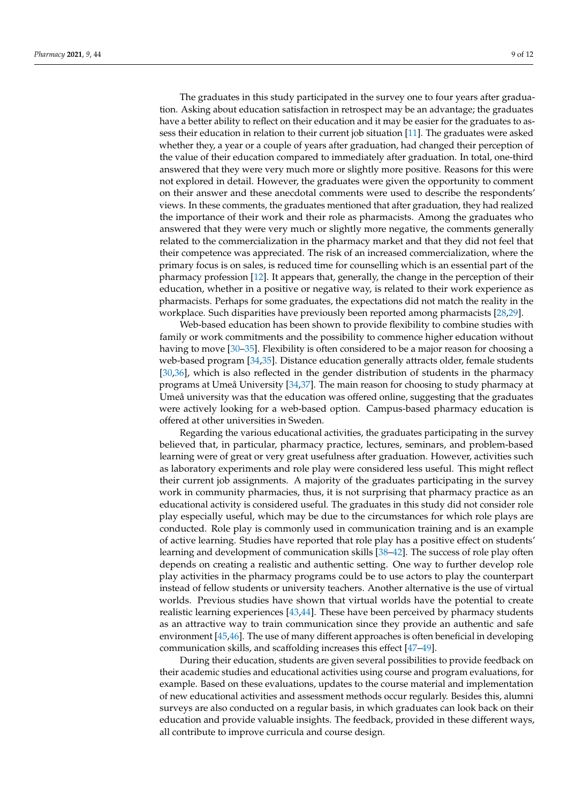The graduates in this study participated in the survey one to four years after graduation. Asking about education satisfaction in retrospect may be an advantage; the graduates have a better ability to reflect on their education and it may be easier for the graduates to assess their education in relation to their current job situation [\[11\]](#page-10-6). The graduates were asked whether they, a year or a couple of years after graduation, had changed their perception of the value of their education compared to immediately after graduation. In total, one-third answered that they were very much more or slightly more positive. Reasons for this were not explored in detail. However, the graduates were given the opportunity to comment on their answer and these anecdotal comments were used to describe the respondents' views. In these comments, the graduates mentioned that after graduation, they had realized the importance of their work and their role as pharmacists. Among the graduates who answered that they were very much or slightly more negative, the comments generally related to the commercialization in the pharmacy market and that they did not feel that their competence was appreciated. The risk of an increased commercialization, where the primary focus is on sales, is reduced time for counselling which is an essential part of the pharmacy profession [\[12\]](#page-10-7). It appears that, generally, the change in the perception of their education, whether in a positive or negative way, is related to their work experience as pharmacists. Perhaps for some graduates, the expectations did not match the reality in the workplace. Such disparities have previously been reported among pharmacists [\[28](#page-10-21)[,29\]](#page-10-22).

Web-based education has been shown to provide flexibility to combine studies with family or work commitments and the possibility to commence higher education without having to move [\[30–](#page-10-23)[35\]](#page-11-0). Flexibility is often considered to be a major reason for choosing a web-based program [\[34](#page-11-1)[,35\]](#page-11-0). Distance education generally attracts older, female students [\[30,](#page-10-23)[36\]](#page-11-2), which is also reflected in the gender distribution of students in the pharmacy programs at Umeå University [\[34](#page-11-1)[,37\]](#page-11-3). The main reason for choosing to study pharmacy at Umeå university was that the education was offered online, suggesting that the graduates were actively looking for a web-based option. Campus-based pharmacy education is offered at other universities in Sweden.

Regarding the various educational activities, the graduates participating in the survey believed that, in particular, pharmacy practice, lectures, seminars, and problem-based learning were of great or very great usefulness after graduation. However, activities such as laboratory experiments and role play were considered less useful. This might reflect their current job assignments. A majority of the graduates participating in the survey work in community pharmacies, thus, it is not surprising that pharmacy practice as an educational activity is considered useful. The graduates in this study did not consider role play especially useful, which may be due to the circumstances for which role plays are conducted. Role play is commonly used in communication training and is an example of active learning. Studies have reported that role play has a positive effect on students' learning and development of communication skills [\[38–](#page-11-4)[42\]](#page-11-5). The success of role play often depends on creating a realistic and authentic setting. One way to further develop role play activities in the pharmacy programs could be to use actors to play the counterpart instead of fellow students or university teachers. Another alternative is the use of virtual worlds. Previous studies have shown that virtual worlds have the potential to create realistic learning experiences [\[43,](#page-11-6)[44\]](#page-11-7). These have been perceived by pharmacy students as an attractive way to train communication since they provide an authentic and safe environment [\[45,](#page-11-8)[46\]](#page-11-9). The use of many different approaches is often beneficial in developing communication skills, and scaffolding increases this effect [\[47](#page-11-10)[–49\]](#page-11-11).

During their education, students are given several possibilities to provide feedback on their academic studies and educational activities using course and program evaluations, for example. Based on these evaluations, updates to the course material and implementation of new educational activities and assessment methods occur regularly. Besides this, alumni surveys are also conducted on a regular basis, in which graduates can look back on their education and provide valuable insights. The feedback, provided in these different ways, all contribute to improve curricula and course design.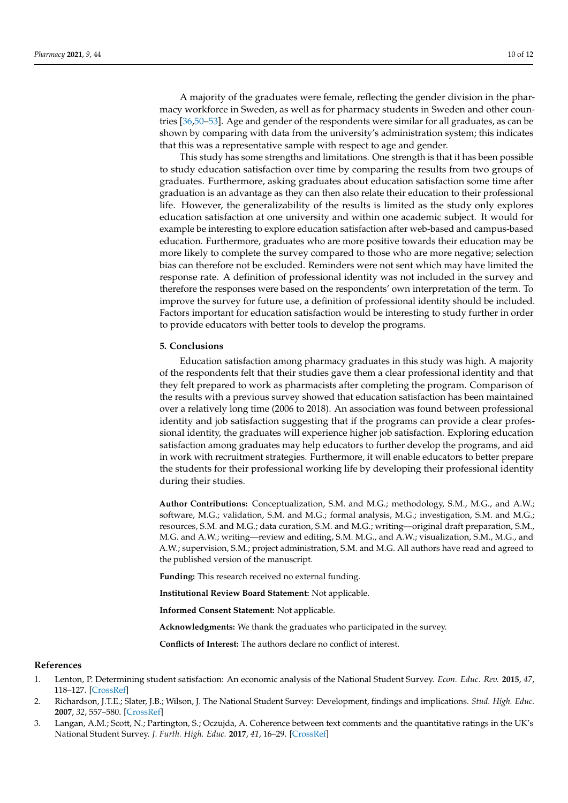A majority of the graduates were female, reflecting the gender division in the pharmacy workforce in Sweden, as well as for pharmacy students in Sweden and other countries [\[36](#page-11-2)[,50–](#page-11-12)[53\]](#page-11-13). Age and gender of the respondents were similar for all graduates, as can be shown by comparing with data from the university's administration system; this indicates that this was a representative sample with respect to age and gender.

This study has some strengths and limitations. One strength is that it has been possible to study education satisfaction over time by comparing the results from two groups of graduates. Furthermore, asking graduates about education satisfaction some time after graduation is an advantage as they can then also relate their education to their professional life. However, the generalizability of the results is limited as the study only explores education satisfaction at one university and within one academic subject. It would for example be interesting to explore education satisfaction after web-based and campus-based education. Furthermore, graduates who are more positive towards their education may be more likely to complete the survey compared to those who are more negative; selection bias can therefore not be excluded. Reminders were not sent which may have limited the response rate. A definition of professional identity was not included in the survey and therefore the responses were based on the respondents' own interpretation of the term. To improve the survey for future use, a definition of professional identity should be included. Factors important for education satisfaction would be interesting to study further in order to provide educators with better tools to develop the programs.

#### **5. Conclusions**

Education satisfaction among pharmacy graduates in this study was high. A majority of the respondents felt that their studies gave them a clear professional identity and that they felt prepared to work as pharmacists after completing the program. Comparison of the results with a previous survey showed that education satisfaction has been maintained over a relatively long time (2006 to 2018). An association was found between professional identity and job satisfaction suggesting that if the programs can provide a clear professional identity, the graduates will experience higher job satisfaction. Exploring education satisfaction among graduates may help educators to further develop the programs, and aid in work with recruitment strategies. Furthermore, it will enable educators to better prepare the students for their professional working life by developing their professional identity during their studies.

**Author Contributions:** Conceptualization, S.M. and M.G.; methodology, S.M., M.G., and A.W.; software, M.G.; validation, S.M. and M.G.; formal analysis, M.G.; investigation, S.M. and M.G.; resources, S.M. and M.G.; data curation, S.M. and M.G.; writing—original draft preparation, S.M., M.G. and A.W.; writing—review and editing, S.M. M.G., and A.W.; visualization, S.M., M.G., and A.W.; supervision, S.M.; project administration, S.M. and M.G. All authors have read and agreed to the published version of the manuscript.

**Funding:** This research received no external funding.

**Institutional Review Board Statement:** Not applicable.

**Informed Consent Statement:** Not applicable.

**Acknowledgments:** We thank the graduates who participated in the survey.

**Conflicts of Interest:** The authors declare no conflict of interest.

#### **References**

- <span id="page-9-0"></span>1. Lenton, P. Determining student satisfaction: An economic analysis of the National Student Survey. *Econ. Educ. Rev.* **2015**, *47*, 118–127. [\[CrossRef\]](http://doi.org/10.1016/j.econedurev.2015.05.001)
- <span id="page-9-2"></span>2. Richardson, J.T.E.; Slater, J.B.; Wilson, J. The National Student Survey: Development, findings and implications. *Stud. High. Educ.* **2007**, *32*, 557–580. [\[CrossRef\]](http://doi.org/10.1080/03075070701573757)
- <span id="page-9-1"></span>3. Langan, A.M.; Scott, N.; Partington, S.; Oczujda, A. Coherence between text comments and the quantitative ratings in the UK's National Student Survey. *J. Furth. High. Educ.* **2017**, *41*, 16–29. [\[CrossRef\]](http://doi.org/10.1080/0309877X.2014.1000281)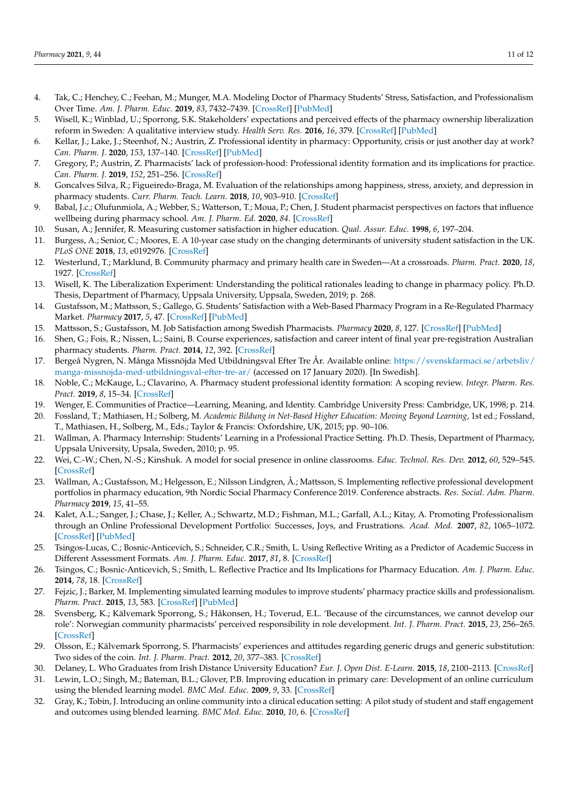- <span id="page-10-0"></span>4. Tak, C.; Henchey, C.; Feehan, M.; Munger, M.A. Modeling Doctor of Pharmacy Students' Stress, Satisfaction, and Professionalism Over Time. *Am. J. Pharm. Educ.* **2019**, *83*, 7432–7439. [\[CrossRef\]](http://doi.org/10.5688/ajpe7432) [\[PubMed\]](http://www.ncbi.nlm.nih.gov/pubmed/31871360)
- <span id="page-10-1"></span>5. Wisell, K.; Winblad, U.; Sporrong, S.K. Stakeholders' expectations and perceived effects of the pharmacy ownership liberalization reform in Sweden: A qualitative interview study. *Health Serv. Res.* **2016**, *16*, 379. [\[CrossRef\]](http://doi.org/10.1186/s12913-016-1637-6) [\[PubMed\]](http://www.ncbi.nlm.nih.gov/pubmed/27519573)
- 6. Kellar, J.; Lake, J.; Steenhof, N.; Austrin, Z. Professional identity in pharmacy: Opportunity, crisis or just another day at work? *Can. Pharm. J.* **2020**, *153*, 137–140. [\[CrossRef\]](http://doi.org/10.1177/1715163520913902) [\[PubMed\]](http://www.ncbi.nlm.nih.gov/pubmed/32528593)
- <span id="page-10-2"></span>7. Gregory, P.; Austrin, Z. Pharmacists' lack of profession-hood: Professional identity formation and its implications for practice. *Can. Pharm. J.* **2019**, *152*, 251–256. [\[CrossRef\]](http://doi.org/10.1177/1715163519846534)
- <span id="page-10-3"></span>8. Goncalves Silva, R.; Figueiredo-Braga, M. Evaluation of the relationships among happiness, stress, anxiety, and depression in pharmacy students. *Curr. Pharm. Teach. Learn.* **2018**, *10*, 903–910. [\[CrossRef\]](http://doi.org/10.1016/j.cptl.2018.04.002)
- <span id="page-10-4"></span>9. Babal, J.c.; Olufunmiola, A.; Webber, S.; Watterson, T.; Moua, P.; Chen, J. Student pharmacist perspectives on factors that influence wellbeing during pharmacy school. *Am. J. Pharm. Ed.* **2020**, *84*. [\[CrossRef\]](http://doi.org/10.5688/ajpe7831)
- <span id="page-10-5"></span>10. Susan, A.; Jennifer, R. Measuring customer satisfaction in higher education. *Qual. Assur. Educ.* **1998**, *6*, 197–204.
- <span id="page-10-6"></span>11. Burgess, A.; Senior, C.; Moores, E. A 10-year case study on the changing determinants of university student satisfaction in the UK. *PLoS ONE* **2018**, *13*, e0192976. [\[CrossRef\]](http://doi.org/10.1371/journal.pone.0192976)
- <span id="page-10-7"></span>12. Westerlund, T.; Marklund, B. Community pharmacy and primary health care in Sweden—At a crossroads. *Pharm. Pract.* **2020**, *18*, 1927. [\[CrossRef\]](http://doi.org/10.18549/PharmPract.2020.2.1927)
- <span id="page-10-8"></span>13. Wisell, K. The Liberalization Experiment: Understanding the political rationales leading to change in pharmacy policy. Ph.D. Thesis, Department of Pharmacy, Uppsala University, Uppsala, Sweden, 2019; p. 268.
- <span id="page-10-9"></span>14. Gustafsson, M.; Mattsson, S.; Gallego, G. Students' Satisfaction with a Web-Based Pharmacy Program in a Re-Regulated Pharmacy Market. *Pharmacy* **2017**, *5*, 47. [\[CrossRef\]](http://doi.org/10.3390/pharmacy5030047) [\[PubMed\]](http://www.ncbi.nlm.nih.gov/pubmed/28970459)
- <span id="page-10-10"></span>15. Mattsson, S.; Gustafsson, M. Job Satisfaction among Swedish Pharmacists. *Pharmacy* **2020**, *8*, 127. [\[CrossRef\]](http://doi.org/10.3390/pharmacy8030127) [\[PubMed\]](http://www.ncbi.nlm.nih.gov/pubmed/32722156)
- <span id="page-10-11"></span>16. Shen, G.; Fois, R.; Nissen, L.; Saini, B. Course experiences, satisfaction and career intent of final year pre-registration Australian pharmacy students. *Pharm. Pract.* **2014**, *12*, 392. [\[CrossRef\]](http://doi.org/10.4321/S1886-36552014000200004)
- <span id="page-10-12"></span>17. Bergeå Nygren, N. Många Missnöjda Med Utbildningsval Efter Tre År. Available online: [https://svenskfarmaci.se/arbetsliv/](https://svenskfarmaci.se/arbetsliv/manga-missnojda-med-utbildningsval-efter-tre-ar/) [manga-missnojda-med-utbildningsval-efter-tre-ar/](https://svenskfarmaci.se/arbetsliv/manga-missnojda-med-utbildningsval-efter-tre-ar/) (accessed on 17 January 2020). [In Swedish].
- <span id="page-10-13"></span>18. Noble, C.; McKauge, L.; Clavarino, A. Pharmacy student professional identity formation: A scoping review. *Integr. Pharm. Res. Pract.* **2019**, *8*, 15–34. [\[CrossRef\]](http://doi.org/10.2147/IPRP.S162799)
- <span id="page-10-14"></span>19. Wenger, E. Communities of Practice—Learning, Meaning, and Identity. Cambridge University Press: Cambridge, UK, 1998; p. 214.
- <span id="page-10-15"></span>20. Fossland, T.; Mathiasen, H.; Solberg, M. *Academic Bildung in Net-Based Higher Education: Moving Beyond Learning*, 1st ed.; Fossland, T., Mathiasen, H., Solberg, M., Eds.; Taylor & Francis: Oxfordshire, UK, 2015; pp. 90–106.
- <span id="page-10-16"></span>21. Wallman, A. Pharmacy Internship: Students' Learning in a Professional Practice Setting. Ph.D. Thesis, Department of Pharmacy, Uppsala University, Upsala, Sweden, 2010; p. 95.
- <span id="page-10-17"></span>22. Wei, C.-W.; Chen, N.-S.; Kinshuk. A model for social presence in online classrooms. *Educ. Technol. Res. Dev.* **2012**, *60*, 529–545. [\[CrossRef\]](http://doi.org/10.1007/s11423-012-9234-9)
- <span id="page-10-18"></span>23. Wallman, A.; Gustafsson, M.; Helgesson, E.; Nilsson Lindgren, Å.; Mattsson, S. Implementing reflective professional development portfolios in pharmacy education, 9th Nordic Social Pharmacy Conference 2019. Conference abstracts. *Res. Social. Adm. Pharm. Pharmacy* **2019**, *15*, 41–55.
- 24. Kalet, A.L.; Sanger, J.; Chase, J.; Keller, A.; Schwartz, M.D.; Fishman, M.L.; Garfall, A.L.; Kitay, A. Promoting Professionalism through an Online Professional Development Portfolio: Successes, Joys, and Frustrations. *Acad. Med.* **2007**, *82*, 1065–1072. [\[CrossRef\]](http://doi.org/10.1097/ACM.0b013e31815762af) [\[PubMed\]](http://www.ncbi.nlm.nih.gov/pubmed/17971693)
- 25. Tsingos-Lucas, C.; Bosnic-Anticevich, S.; Schneider, C.R.; Smith, L. Using Reflective Writing as a Predictor of Academic Success in Different Assessment Formats. *Am. J. Pharm. Educ.* **2017**, *81*, 8. [\[CrossRef\]](http://doi.org/10.5688/ajpe8118)
- <span id="page-10-19"></span>26. Tsingos, C.; Bosnic-Anticevich, S.; Smith, L. Reflective Practice and Its Implications for Pharmacy Education. *Am. J. Pharm. Educ.* **2014**, *78*, 18. [\[CrossRef\]](http://doi.org/10.5688/ajpe78118)
- <span id="page-10-20"></span>27. Fejzic, J.; Barker, M. Implementing simulated learning modules to improve students' pharmacy practice skills and professionalism. *Pharm. Pract.* **2015**, *13*, 583. [\[CrossRef\]](http://doi.org/10.18549/PharmPract.2015.03.583) [\[PubMed\]](http://www.ncbi.nlm.nih.gov/pubmed/26445619)
- <span id="page-10-21"></span>28. Svensberg, K.; Kälvemark Sporrong, S.; Håkonsen, H.; Toverud, E.L. 'Because of the circumstances, we cannot develop our role': Norwegian community pharmacists' perceived responsibility in role development. *Int. J. Pharm. Pract.* **2015**, *23*, 256–265. [\[CrossRef\]](http://doi.org/10.1111/ijpp.12154)
- <span id="page-10-22"></span>29. Olsson, E.; Kälvemark Sporrong, S. Pharmacists' experiences and attitudes regarding generic drugs and generic substitution: Two sides of the coin. *Int. J. Pharm. Pract.* **2012**, *20*, 377–383. [\[CrossRef\]](http://doi.org/10.1111/j.2042-7174.2012.00214.x)
- <span id="page-10-23"></span>30. Delaney, L. Who Graduates from Irish Distance University Education? *Eur. J. Open Dist. E-Learn.* **2015**, *18*, 2100–2113. [\[CrossRef\]](http://doi.org/10.1515/eurodl-2015-0007)
- 31. Lewin, L.O.; Singh, M.; Bateman, B.L.; Glover, P.B. Improving education in primary care: Development of an online curriculum using the blended learning model. *BMC Med. Educ.* **2009**, *9*, 33. [\[CrossRef\]](http://doi.org/10.1186/1472-6920-9-33)
- 32. Gray, K.; Tobin, J. Introducing an online community into a clinical education setting: A pilot study of student and staff engagement and outcomes using blended learning. *BMC Med. Educ.* **2010**, *10*, 6. [\[CrossRef\]](http://doi.org/10.1186/1472-6920-10-6)